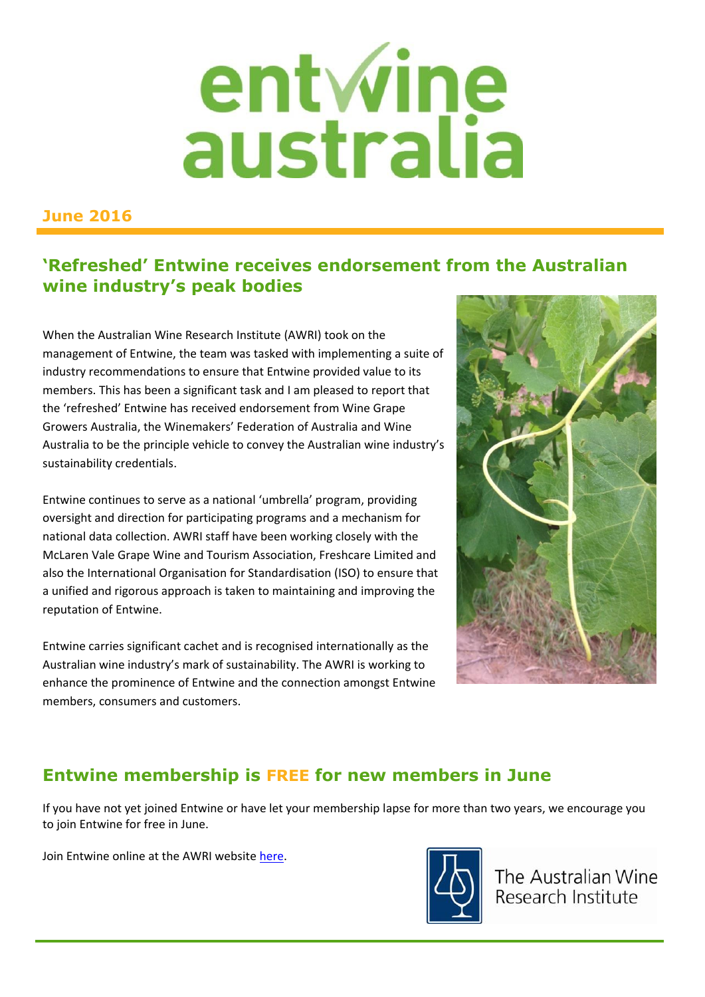# entwine<br>australia

#### **June 2016**

#### **'Refreshed' Entwine receives endorsement from the Australian wine industry's peak bodies**

When the Australian Wine Research Institute (AWRI) took on the management of Entwine, the team was tasked with implementing a suite of industry recommendations to ensure that Entwine provided value to its members. This has been a significant task and I am pleased to report that the 'refreshed' Entwine has received endorsement from Wine Grape Growers Australia, the Winemakers' Federation of Australia and Wine Australia to be the principle vehicle to convey the Australian wine industry's sustainability credentials.

Entwine continues to serve as a national 'umbrella' program, providing oversight and direction for participating programs and a mechanism for national data collection. AWRI staff have been working closely with the McLaren Vale Grape Wine and Tourism Association, Freshcare Limited and also the International Organisation for Standardisation (ISO) to ensure that a unified and rigorous approach is taken to maintaining and improving the reputation of Entwine.

Entwine carries significant cachet and is recognised internationally as the Australian wine industry's mark of sustainability. The AWRI is working to enhance the prominence of Entwine and the connection amongst Entwine members, consumers and customers.



## **Entwine membership is FREE for new members in June**

If you have not yet joined Entwine or have let your membership lapse for more than two years, we encourage you to join Entwine for free in June.

Join Entwine online at the AWRI website [here.](http://www.awri.com.au/industry_support/entwine/)



The Australian Wine Research Institute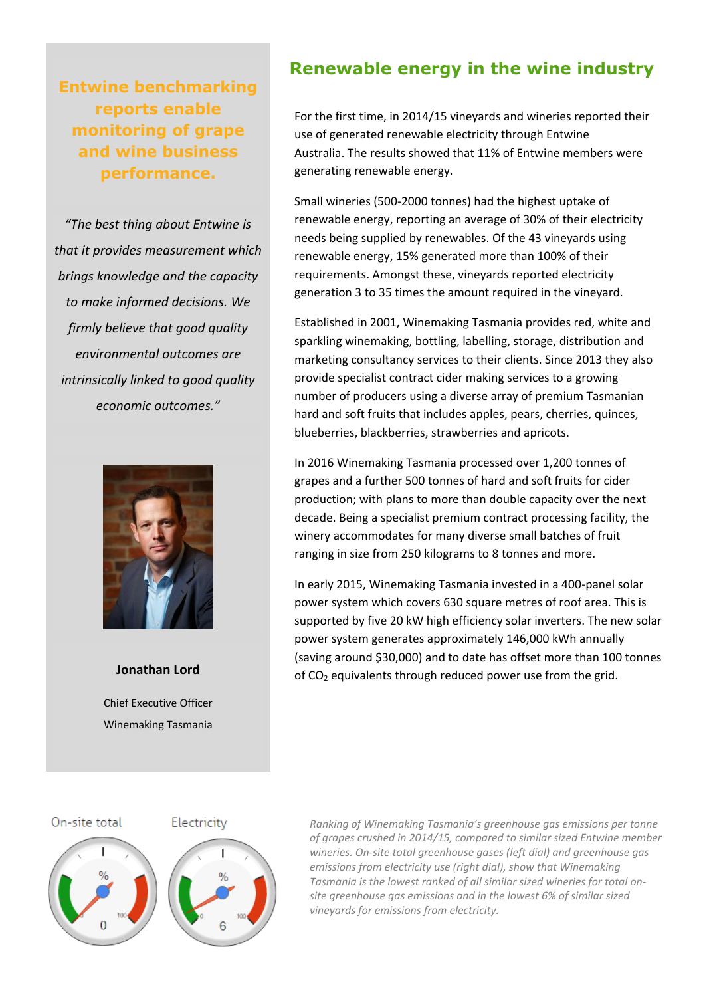**Entwine benchmarking reports enable monitoring of grape and wine business performance.** 

*"The best thing about Entwine is that it provides measurement which brings knowledge and the capacity to make informed decisions. We firmly believe that good quality environmental outcomes are intrinsically linked to good quality economic outcomes."*



**Jonathan Lord** Chief Executive Officer Winemaking Tasmania

#### **Renewable energy in the wine industry**

For the first time, in 2014/15 vineyards and wineries reported their use of generated renewable electricity through Entwine Australia. The results showed that 11% of Entwine members were generating renewable energy.

Small wineries (500-2000 tonnes) had the highest uptake of renewable energy, reporting an average of 30% of their electricity needs being supplied by renewables. Of the 43 vineyards using renewable energy, 15% generated more than 100% of their requirements. Amongst these, vineyards reported electricity generation 3 to 35 times the amount required in the vineyard.

Established in 2001, Winemaking Tasmania provides red, white and sparkling winemaking, bottling, labelling, storage, distribution and marketing consultancy services to their clients. Since 2013 they also provide specialist contract cider making services to a growing number of producers using a diverse array of premium Tasmanian hard and soft fruits that includes apples, pears, cherries, quinces, blueberries, blackberries, strawberries and apricots.

In 2016 Winemaking Tasmania processed over 1,200 tonnes of grapes and a further 500 tonnes of hard and soft fruits for cider production; with plans to more than double capacity over the next decade. Being a specialist premium contract processing facility, the winery accommodates for many diverse small batches of fruit ranging in size from 250 kilograms to 8 tonnes and more.

In early 2015, Winemaking Tasmania invested in a 400-panel solar power system which covers 630 square metres of roof area. This is supported by five 20 kW high efficiency solar inverters. The new solar power system generates approximately 146,000 kWh annually (saving around \$30,000) and to date has offset more than 100 tonnes of CO<sup>2</sup> equivalents through reduced power use from the grid.



# Electricity



*Ranking of Winemaking Tasmania's greenhouse gas emissions per tonne of grapes crushed in 2014/15, compared to similar sized Entwine member wineries. On-site total greenhouse gases (left dial) and greenhouse gas emissions from electricity use (right dial), show that Winemaking Tasmania is the lowest ranked of all similar sized wineries for total onsite greenhouse gas emissions and in the lowest 6% of similar sized vineyards for emissions from electricity.*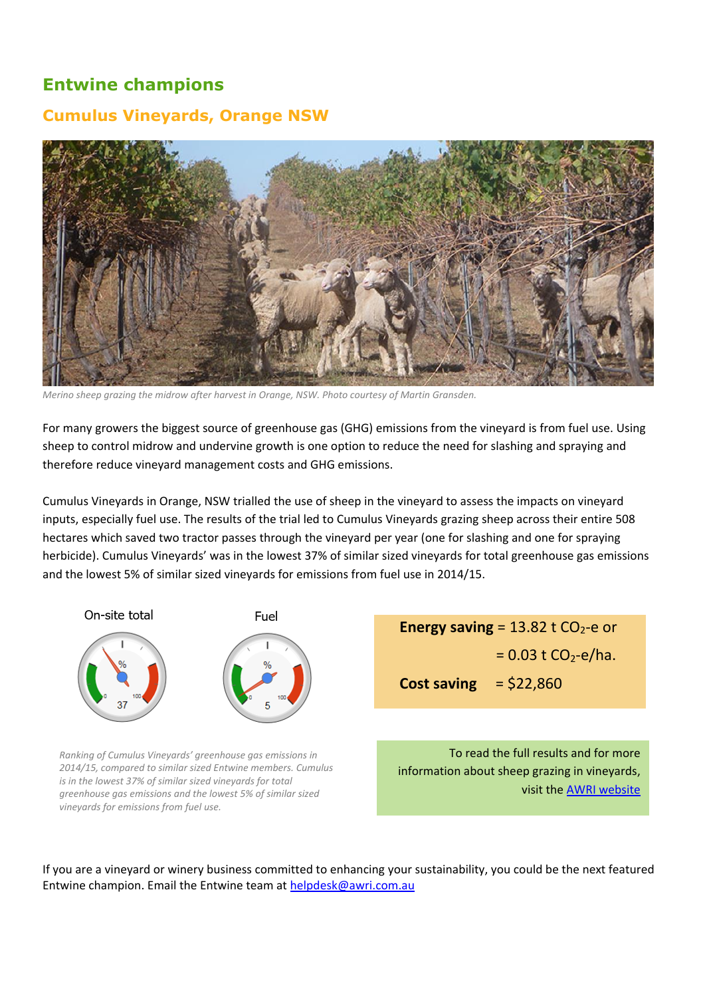## **Entwine champions**

#### **Cumulus Vineyards, Orange NSW**



*Merino sheep grazing the midrow after harvest in Orange, NSW. Photo courtesy of Martin Gransden.* 

For many growers the biggest source of greenhouse gas (GHG) emissions from the vineyard is from fuel use. Using sheep to control midrow and undervine growth is one option to reduce the need for slashing and spraying and therefore reduce vineyard management costs and GHG emissions.

Cumulus Vineyards in Orange, NSW trialled the use of sheep in the vineyard to assess the impacts on vineyard inputs, especially fuel use. The results of the trial led to Cumulus Vineyards grazing sheep across their entire 508 hectares which saved two tractor passes through the vineyard per year (one for slashing and one for spraying herbicide). Cumulus Vineyards' was in the lowest 37% of similar sized vineyards for total greenhouse gas emissions and the lowest 5% of similar sized vineyards for emissions from fuel use in 2014/15.



*Ranking of Cumulus Vineyards' greenhouse gas emissions in 2014/15, compared to similar sized Entwine members. Cumulus is in the lowest 37% of similar sized vineyards for total greenhouse gas emissions and the lowest 5% of similar sized vineyards for emissions from fuel use.*

**Energy saving** =  $13.82$  t  $CO<sub>2</sub>$ -e or  $= 0.03$  t CO<sub>2</sub>-e/ha. **Cost saving** = \$22,860

To read the full results and for more information about sheep grazing in vineyards, visit th[e AWRI website](http://www.awri.com.au/industry_support/new_climate/)

If you are a vineyard or winery business committed to enhancing your sustainability, you could be the next featured Entwine champion. Email the Entwine team at [helpdesk@awri.com.au](mailto:helpdesk@awri.com.au)